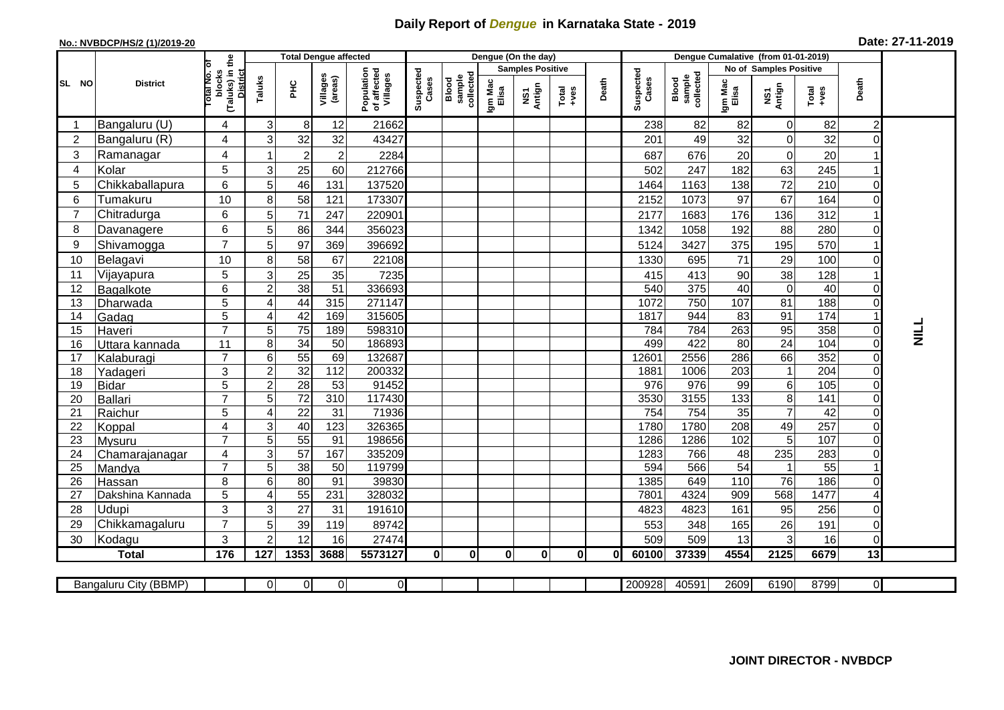## **Daily Report of** *Dengue* **in Karnataka State - 2019**

## **No.: NVBDCP/HS/2 (1)/2019-20**

| Date: 27-11-2019 |  |  |  |
|------------------|--|--|--|
|------------------|--|--|--|

|                |                          |                                                          |                            |                       | <b>Total Dengue affected</b> |                                       |                    |                                     |                  | Dengue (On the day)     |                  |              |                    |                              | Dengue Cumalative (from 01-01-2019) |                        |                 |                |    |
|----------------|--------------------------|----------------------------------------------------------|----------------------------|-----------------------|------------------------------|---------------------------------------|--------------------|-------------------------------------|------------------|-------------------------|------------------|--------------|--------------------|------------------------------|-------------------------------------|------------------------|-----------------|----------------|----|
|                |                          | ō                                                        |                            |                       |                              |                                       |                    |                                     |                  | <b>Samples Positive</b> |                  |              |                    |                              |                                     | No of Samples Positive |                 |                |    |
| SL NO          | <b>District</b>          | (Taluks) in the<br>otal No.<br>blocks<br><b>District</b> | Taluks                     | Ξ                     | Villages<br>(areas)          | Population<br>of affected<br>Villages | Suspected<br>Cases | collected<br>sample<br><b>Blood</b> | Igm Mac<br>Elisa | NS1<br>Antign           | Total<br>$+ve$ s | Death        | Suspected<br>Cases | sample<br>collected<br>Blood | Igm Mac<br>Elisa                    | NS1<br>Antign          | Total<br>$+ves$ | Death          |    |
|                | Bangaluru (U)            | 4                                                        | 3                          | 8                     | 12                           | 21662                                 |                    |                                     |                  |                         |                  |              | 238                | 82                           | 82                                  | $\Omega$               | 82              | 2              |    |
| $\overline{2}$ | Bangaluru (R)            | 4                                                        | 3                          | 32                    | 32                           | 43427                                 |                    |                                     |                  |                         |                  |              | 201                | 49                           | 32                                  | 0                      | 32              | $\Omega$       |    |
| 3              | Ramanagar                | 4                                                        |                            | $\overline{2}$        | $\overline{2}$               | 2284                                  |                    |                                     |                  |                         |                  |              | 687                | 676                          | 20                                  | $\Omega$               | 20              |                |    |
| $\overline{4}$ | Kolar                    | 5                                                        | 3                          | 25                    | 60                           | 212766                                |                    |                                     |                  |                         |                  |              | 502                | 247                          | 182                                 | 63                     | 245             |                |    |
| 5              | Chikkaballapura          | 6                                                        | 5                          | 46                    | 131                          | 137520                                |                    |                                     |                  |                         |                  |              | 1464               | 1163                         | 138                                 | 72                     | 210             | O              |    |
| 6              | Tumakuru                 | 10                                                       | 8                          | 58                    | 121                          | 173307                                |                    |                                     |                  |                         |                  |              | 2152               | 1073                         | 97                                  | 67                     | 164             | 0              |    |
| $\overline{7}$ | Chitradurga              | 6                                                        | 5                          | 71                    | 247                          | 220901                                |                    |                                     |                  |                         |                  |              | 2177               | 1683                         | 176                                 | 136                    | 312             |                |    |
| 8              | Davanagere               | 6                                                        | 5                          | 86                    | 344                          | 356023                                |                    |                                     |                  |                         |                  |              | 1342               | 1058                         | 192                                 | 88                     | 280             | 0              |    |
| 9              | Shivamogga               | $\overline{7}$                                           | 5                          | 97                    | 369                          | 396692                                |                    |                                     |                  |                         |                  |              | 5124               | 3427                         | 375                                 | 195                    | 570             |                |    |
| 10             | Belagavi                 | 10                                                       | 8                          | 58                    | 67                           | 22108                                 |                    |                                     |                  |                         |                  |              | 1330               | 695                          | 71                                  | 29                     | 100             | $\Omega$       |    |
| 11             | Vijayapura               | 5                                                        | 3                          | 25                    | 35                           | 7235                                  |                    |                                     |                  |                         |                  |              | 415                | 413                          | 90                                  | 38                     | 128             |                |    |
| 12             | Bagalkote                | 6                                                        | $\overline{2}$             | 38                    | 51                           | 336693                                |                    |                                     |                  |                         |                  |              | 540                | 375                          | 40                                  | $\mathbf 0$            | 40              | $\Omega$       |    |
| 13             | Dharwada                 | 5                                                        | $\boldsymbol{\Delta}$      | 44                    | 315                          | 271147                                |                    |                                     |                  |                         |                  |              | 1072               | 750                          | 107                                 | 81                     | 188             | $\Omega$       |    |
| 14             | Gadag                    | 5                                                        | 4                          | 42                    | 169                          | 315605                                |                    |                                     |                  |                         |                  |              | 1817               | 944                          | 83                                  | 91                     | 174             |                |    |
| 15             | Haveri                   | $\overline{7}$                                           | 5                          | 75                    | 189                          | 598310                                |                    |                                     |                  |                         |                  |              | 784                | 784                          | 263                                 | 95                     | 358             | 0              | コラ |
| 16             | Uttara kannada           | 11                                                       | 8                          | 34                    | 50                           | 186893                                |                    |                                     |                  |                         |                  |              | 499                | 422                          | 80                                  | 24                     | 104             | $\Omega$       |    |
| 17             | Kalaburagi               | $\overline{7}$                                           | 6                          | 55                    | 69                           | 132687                                |                    |                                     |                  |                         |                  |              | 12601              | 2556                         | 286                                 | 66                     | 352             | $\Omega$       |    |
| 18             | Yadageri                 | 3                                                        | $\overline{c}$             | 32                    | 112                          | 200332                                |                    |                                     |                  |                         |                  |              | 1881               | 1006                         | 203                                 | $\overline{1}$         | 204             | $\Omega$       |    |
| 19             | <b>Bidar</b>             | 5                                                        | $\boldsymbol{2}$           | 28                    | 53                           | 91452                                 |                    |                                     |                  |                         |                  |              | 976                | 976                          | 99                                  | $6\phantom{1}$         | 105             | $\Omega$       |    |
| 20             | Ballari                  | $\overline{7}$                                           | 5                          | 72                    | 310                          | 117430                                |                    |                                     |                  |                         |                  |              | 3530               | 3155                         | $\overline{133}$                    | 8                      | 141             | $\Omega$       |    |
| 21<br>22       | Raichur                  | 5                                                        | $\overline{4}$             | $\overline{22}$<br>40 | 31<br>123                    | 71936<br>326365                       |                    |                                     |                  |                         |                  |              | 754<br>1780        | 754<br>1780                  | 35<br>208                           | $\overline{7}$         | 42<br>257       | $\overline{0}$ |    |
| 23             | Koppal                   | 4<br>$\overline{7}$                                      | 3<br>5                     | 55                    | 91                           | 198656                                |                    |                                     |                  |                         |                  |              | 1286               | 1286                         | 102                                 | 49<br>5                | 107             | 0<br>0         |    |
| 24             | Mysuru<br>Chamarajanagar | 4                                                        | 3                          | $\overline{57}$       | 167                          | 335209                                |                    |                                     |                  |                         |                  |              | 1283               | 766                          | 48                                  | 235                    | 283             | $\Omega$       |    |
| 25             | Mandya                   | $\overline{7}$                                           | 5                          | 38                    | 50                           | 119799                                |                    |                                     |                  |                         |                  |              | 594                | 566                          | 54                                  | $\overline{1}$         | 55              |                |    |
| 26             | Hassan                   | 8                                                        | 6                          | 80                    | 91                           | 39830                                 |                    |                                     |                  |                         |                  |              | 1385               | 649                          | 110                                 | 76                     | 186             | 0              |    |
| 27             | Dakshina Kannada         | 5                                                        | $\boldsymbol{\mathcal{A}}$ | 55                    | 231                          | 328032                                |                    |                                     |                  |                         |                  |              | 7801               | 4324                         | 909                                 | 568                    | 1477            |                |    |
| 28             | Udupi                    | 3                                                        | 3                          | 27                    | 31                           | 191610                                |                    |                                     |                  |                         |                  |              | 4823               | 4823                         | 161                                 | 95                     | 256             | 0              |    |
| 29             | Chikkamagaluru           | $\overline{7}$                                           | 5                          | 39                    | 119                          | 89742                                 |                    |                                     |                  |                         |                  |              | 553                | 348                          | 165                                 | 26                     | 191             | 0              |    |
| 30             | Kodagu                   | 3                                                        | $\overline{2}$             | 12                    | 16                           | 27474                                 |                    |                                     |                  |                         |                  |              | 509                | 509                          | 13                                  | 3                      | 16              | $\Omega$       |    |
|                | <b>Total</b>             | 176                                                      | 127                        | 1353                  | 3688                         | 5573127                               | $\mathbf{0}$       | $\mathbf 0$                         | 0                | $\mathbf{0}$            | $\mathbf{0}$     | $\mathbf{0}$ | 60100              | 37339                        | 4554                                | 2125                   | 6679            | 13             |    |
|                |                          |                                                          |                            |                       |                              |                                       |                    |                                     |                  |                         |                  |              |                    |                              |                                     |                        |                 |                |    |
|                | Bangaluru City (BBMP)    |                                                          | $\Omega$                   | $\overline{0}$        | $\mathbf 0$                  | οl                                    |                    |                                     |                  |                         |                  |              | 200928             | 40591                        | 2609                                | 6190                   | 8799            | ΟI             |    |